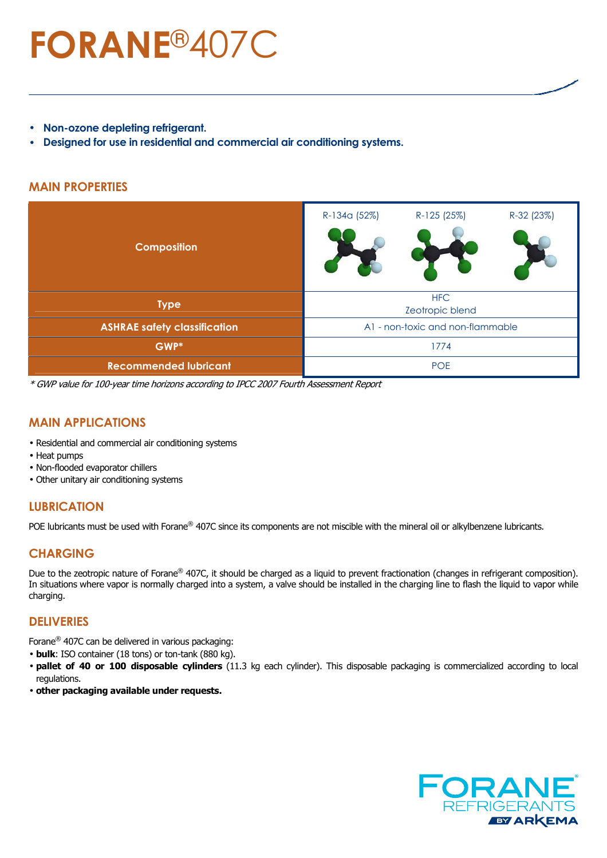# **FORANE**®407C

- **Non-ozone depleting refrigerant.**
- **Designed for use in residential and commercial air conditioning systems.**

#### **MAIN PROPERTIES**

| <b>Composition</b>                  | R-125 (25%)<br>R-32 (23%)<br>R-134a (52%) |  |  |  |  |
|-------------------------------------|-------------------------------------------|--|--|--|--|
| <b>Type</b>                         | <b>HFC</b><br>Zeotropic blend             |  |  |  |  |
| <b>ASHRAE safety classification</b> | A1 - non-toxic and non-flammable          |  |  |  |  |
| GWP*                                | 1774                                      |  |  |  |  |
| <b>Recommended lubricant</b>        | <b>POE</b>                                |  |  |  |  |

\* GWP value for 100-year time horizons according to IPCC 2007 Fourth Assessment Report

#### **MAIN APPLICATIONS**

- Residential and commercial air conditioning systems
- Heat pumps
- Non-flooded evaporator chillers
- Other unitary air conditioning systems

# **LUBRICATION**

POE lubricants must be used with Forane® 407C since its components are not miscible with the mineral oil or alkylbenzene lubricants.

### **CHARGING**

Due to the zeotropic nature of Forane<sup>®</sup> 407C, it should be charged as a liquid to prevent fractionation (changes in refrigerant composition). In situations where vapor is normally charged into a system, a valve should be installed in the charging line to flash the liquid to vapor while charging.

#### **DELIVERIES**

Forane® 407C can be delivered in various packaging:

- **bulk**: ISO container (18 tons) or ton-tank (880 kg).
- **pallet of 40 or 100 disposable cylinders** (11.3 kg each cylinder). This disposable packaging is commercialized according to local regulations.
- **other packaging available under requests.**